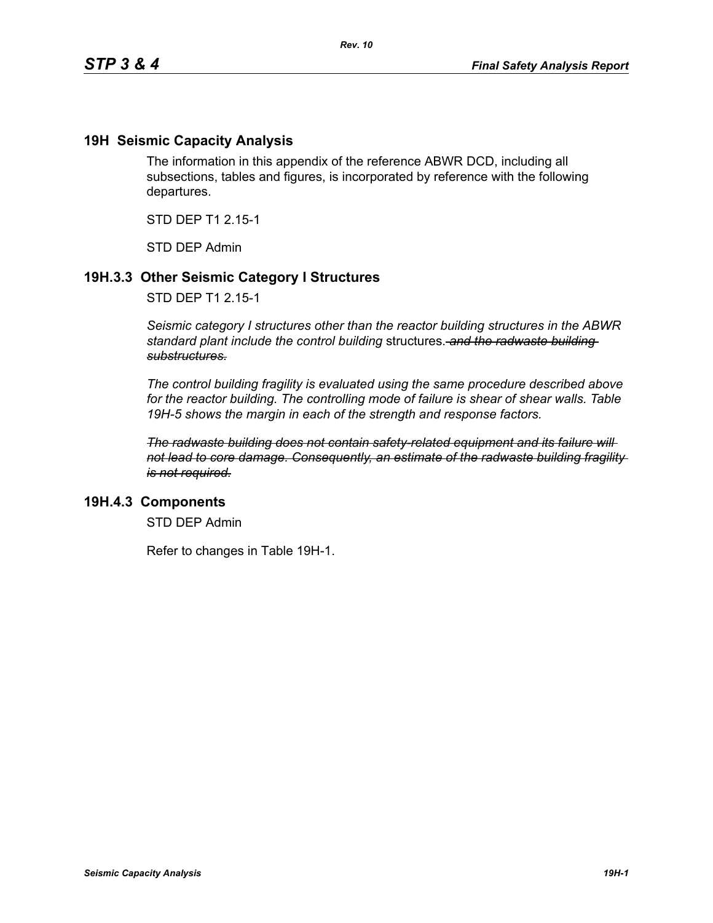## **19H Seismic Capacity Analysis**

The information in this appendix of the reference ABWR DCD, including all subsections, tables and figures, is incorporated by reference with the following departures.

STD DEP T1 2.15-1

STD DEP Admin

## **19H.3.3 Other Seismic Category I Structures**

STD DEP T1 2.15-1

*Seismic category I structures other than the reactor building structures in the ABWR standard plant include the control building* structures. *and the radwaste building substructures.*

*The control building fragility is evaluated using the same procedure described above for the reactor building. The controlling mode of failure is shear of shear walls. Table 19H-5 shows the margin in each of the strength and response factors.*

*The radwaste building does not contain safety-related equipment and its failure will not lead to core damage. Consequently, an estimate of the radwaste building fragility is not required.*

### **19H.4.3 Components**

STD DEP Admin

Refer to changes in Table 19H-1.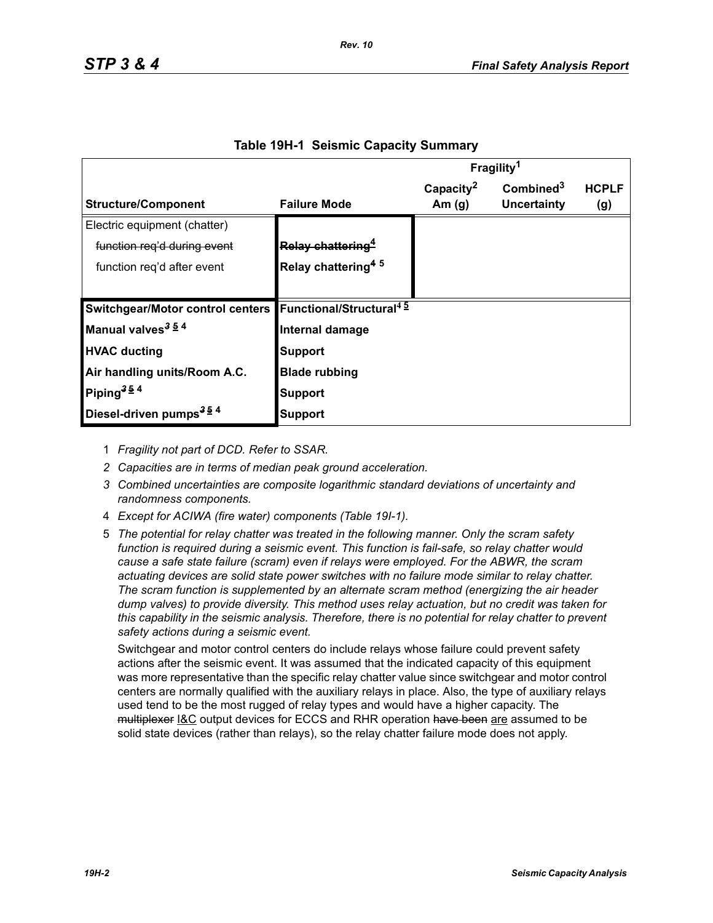|                                                                      |                                | Fragility <sup>1</sup> |                       |              |
|----------------------------------------------------------------------|--------------------------------|------------------------|-----------------------|--------------|
|                                                                      |                                | Capacity <sup>2</sup>  | Combined <sup>3</sup> | <b>HCPLF</b> |
| <b>Structure/Component</b>                                           | <b>Failure Mode</b>            | Am $(g)$               | Uncertainty           | (g)          |
| Electric equipment (chatter)                                         |                                |                        |                       |              |
| function reg'd during event                                          | Relay chattering <sup>4</sup>  |                        |                       |              |
| function reg'd after event                                           | Relay chattering <sup>45</sup> |                        |                       |              |
|                                                                      |                                |                        |                       |              |
| Switchgear/Motor control centers Functional/Structural <sup>45</sup> |                                |                        |                       |              |
| Manual valves <sup>3 54</sup>                                        | Internal damage                |                        |                       |              |
| <b>HVAC ducting</b>                                                  | <b>Support</b>                 |                        |                       |              |
| Air handling units/Room A.C.                                         | <b>Blade rubbing</b>           |                        |                       |              |
| Piping <sup>354</sup>                                                | Support                        |                        |                       |              |
| Diesel-driven pumps <sup>354</sup>                                   | Support                        |                        |                       |              |

#### **Table 19H-1 Seismic Capacity Summary**

1 *Fragility not part of DCD. Refer to SSAR.*

- *2 Capacities are in terms of median peak ground acceleration.*
- *3 Combined uncertainties are composite logarithmic standard deviations of uncertainty and randomness components.*
- 4 *Except for ACIWA (fire water) components (Table 19I-1).*
- 5 *The potential for relay chatter was treated in the following manner. Only the scram safety function is required during a seismic event. This function is fail-safe, so relay chatter would cause a safe state failure (scram) even if relays were employed. For the ABWR, the scram actuating devices are solid state power switches with no failure mode similar to relay chatter. The scram function is supplemented by an alternate scram method (energizing the air header dump valves) to provide diversity. This method uses relay actuation, but no credit was taken for this capability in the seismic analysis. Therefore, there is no potential for relay chatter to prevent safety actions during a seismic event.*

Switchgear and motor control centers do include relays whose failure could prevent safety actions after the seismic event. It was assumed that the indicated capacity of this equipment was more representative than the specific relay chatter value since switchgear and motor control centers are normally qualified with the auxiliary relays in place. Also, the type of auxiliary relays used tend to be the most rugged of relay types and would have a higher capacity. The multiplexer I&C output devices for ECCS and RHR operation have been are assumed to be solid state devices (rather than relays), so the relay chatter failure mode does not apply.